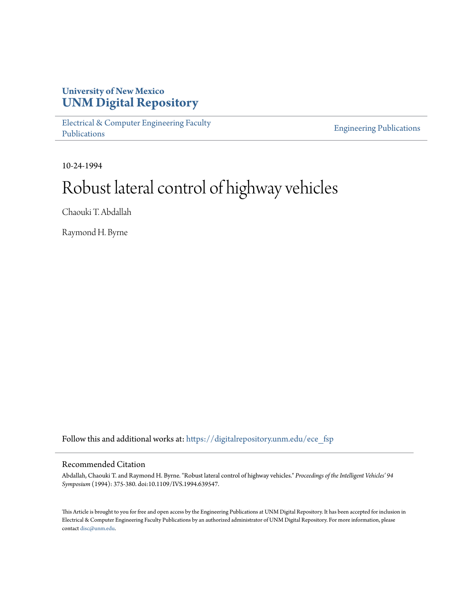# **University of New Mexico [UNM Digital Repository](https://digitalrepository.unm.edu?utm_source=digitalrepository.unm.edu%2Fece_fsp%2F48&utm_medium=PDF&utm_campaign=PDFCoverPages)**

[Electrical & Computer Engineering Faculty](https://digitalrepository.unm.edu/ece_fsp?utm_source=digitalrepository.unm.edu%2Fece_fsp%2F48&utm_medium=PDF&utm_campaign=PDFCoverPages) [Publications](https://digitalrepository.unm.edu/ece_fsp?utm_source=digitalrepository.unm.edu%2Fece_fsp%2F48&utm_medium=PDF&utm_campaign=PDFCoverPages)

[Engineering Publications](https://digitalrepository.unm.edu/eng_fsp?utm_source=digitalrepository.unm.edu%2Fece_fsp%2F48&utm_medium=PDF&utm_campaign=PDFCoverPages)

10-24-1994

# Robust lateral control of highway vehicles

Chaouki T. Abdallah

Raymond H. Byrne

Follow this and additional works at: [https://digitalrepository.unm.edu/ece\\_fsp](https://digitalrepository.unm.edu/ece_fsp?utm_source=digitalrepository.unm.edu%2Fece_fsp%2F48&utm_medium=PDF&utm_campaign=PDFCoverPages)

## Recommended Citation

Abdallah, Chaouki T. and Raymond H. Byrne. "Robust lateral control of highway vehicles." *Proceedings of the Intelligent Vehicles' 94 Symposium* (1994): 375-380. doi:10.1109/IVS.1994.639547.

This Article is brought to you for free and open access by the Engineering Publications at UNM Digital Repository. It has been accepted for inclusion in Electrical & Computer Engineering Faculty Publications by an authorized administrator of UNM Digital Repository. For more information, please contact [disc@unm.edu.](mailto:disc@unm.edu)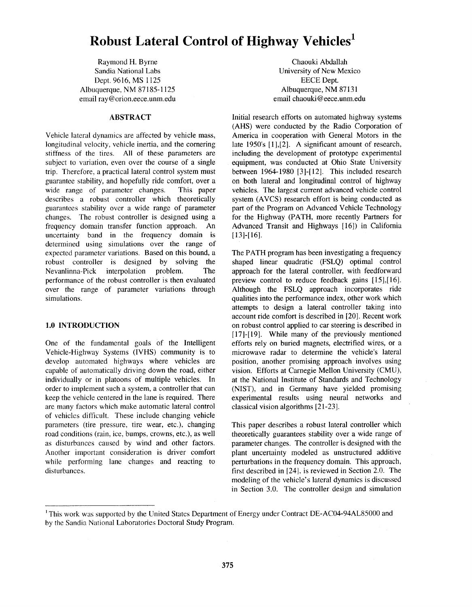# **Robust Lateral Control of Highway Vehicles<sup>1</sup>**

Raymond H. Byrne Sandia National Labs Dept. 9616, **MS** 1125 Albuquerque. NM 87 185-1 125 email ray@orion.eece.unm.edu

#### **ABSTRACT**

Vehicle lateral dynamics are affected by vehicle mass. longitudinal velocity. vehicle inertia, and the cornering stiffness of the tires. A11 of these parameters are subject to variation, even over the course of a single trip. Therefore, a practical lateral control system must guarantee stability, and hopefully ride comfort, over a wide range of parameter changes. This paper describes a robust controller which theoretically guarantees stability over a wide range of parameter changes. The robust controller is designed using a frequency domain transfer function approach. An uncertainty band in the frequency domain is determined using simulations over the range **of**  expected parameter variations. Based on this bound, a robust controller is designed by solving the Nevanlinna-Pick interpolation problem. The performance of the robust controller is then evaluated over the range of parameter variations through simulations.

# **1.0 INTRODUCTION**

One of the fundamental goals of the Intelligent Vehicle-Highway Systems (IVHS) community is to develop automated highways where vehicles are capable of automatically driving down the road, either individually or in platoons of multiple vehicles. In order to implement such a system, a controller that can keep the vehicle centered in the lane is required. There are many factors which make automatic lateral control of vehicles difficult. These include changing vehicle parameters (tire pressure, tire wear, etc.), changing road conditions (rain, ice, bumps, crowns, etc.), as well as disturbances caused by wind and other factors. Another important consideration is driver comfort while performing lane changes and reacting to disturbances.

Chaouki Abdallah University of New Mexico EECE Dept. Albuquerque, NM 87131 email chaouki @ [eece.unm.edu](http://eece.unm.edu)

Initial research efforts on automated highway systems (AHS) were conducted by the Radio Corporation of America in cooperation with General Motors in the late 1950's [1],[2]. A significant amount of research, including the development of prototype experimental equipment, was conducted at Ohio State University between 1964-1980 [3]-[12]. This included research on both lateral and longitudinal control of highway vehicles. The largest current advanced vehicle control system (AVCS) research effort is being conducted as part of the Program on Advanced Vehicle Technology for the Highway (PATH, more recently Partners for Advanced Transit and Highways [16]) in California  $[13]-[16]$ .

The PATH program has been investigating a frequency shaped linear quadratic (FSLQ) optimal control approach for the lateral controller, with feedforward preview control to reduce feedback gains [15],[16]. Although the FSLQ approach incorporates ride qualities into the performance index, other work which attempts to design a lateral controller taking into account ride comfort is described in [20]. Recent work on robust control applied to car steering is described in [17]-[19]. While many of the previously mentioned efforts rely on buried magnets, electrified wires, or a microwave radar to determine the vehicle's lateral position, another promising approach involves using vision. Efforts at Carnegie Mellon University (CMU), at the National Institute of Standards and Technology (NIST), and in Germany have yielded promising experimental results using neural networks and classical vision algorithms [21-231.

This paper describes a robust lateral controller which theoretically guarantees stability over a wide range of parameter changes. The controller is designed with the plant uncertainty modeled as unstructured additive perturbations in the frequency domain. This approach, first described in [24]. is reviewed in Section 2.0. The modeling of the vehicle's lateral dynamics is discussed in Section 3.0. The controller design and simulation

<sup>&#</sup>x27; This work was supported by the United States Department of Energy under Contract DE-AC04-94AL8.5000 and by the Sandia National Laboratories Doctoral Study Program.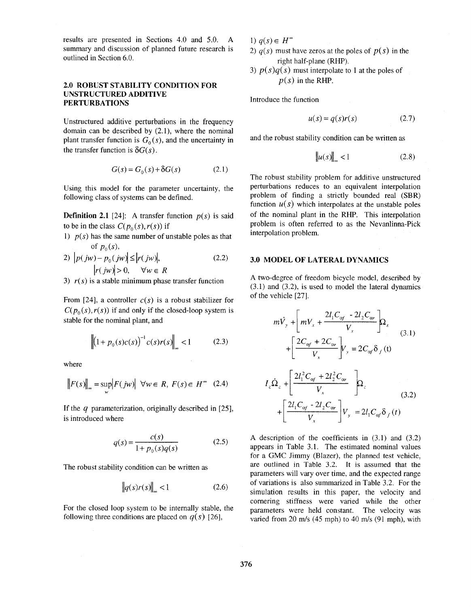results are presented in Sections 4.0 and 5.0. **A**  summary and discussion of planned future research is outlined in Section 6.0.

#### **2.0 ROBUST STABILITY CONDITION FOR UNSTRUCTURED ADDITIVE PERTURBATIONS**

Unstructured additive perturbations in the frequency domain can be described by (2.1), where the nominal plant transfer function is  $G_0(s)$ , and the uncertainty in the transfer function is  $\delta G(s)$ .

$$
G(s) = G_0(s) + \delta G(s) \tag{2.1}
$$

Using this model for the parameter uncertainty, the following class of systems can be defined.

**Definition 2.1** [24]: A transfer function  $p(s)$  is said to be in the class  $C(p_0(s), r(s))$  if

1)  $p(s)$  has the same number of unstable poles as that of  $p_0(s)$ ,

$$
2) |p(jw) - p_0(jw)| \le |r(jw)|, |r(jw)| > 0, \quad \forall w \in R
$$
\n(2.2)

3)  $r(s)$  is a stable minimum phase transfer function

From [24], a controller  $c(s)$  is a robust stabilizer for  $C(p_0(s), r(s))$  if and only if the closed-loop system is stable for the nominal plant, and

$$
\left\| (1 + p_0(s)c(s))^{-1} c(s)r(s) \right\|_{\infty} < 1 \tag{2.3}
$$

where

$$
\|F(s)\|_{\infty} = \sup_{w} \left| F(jw) \right| \ \forall w \in R, \ F(s) \in H^{\infty} \quad (2.4)
$$

If the *q* parameterization, originally described in [25], is introduced where

$$
q(s) = \frac{c(s)}{1 + p_0(s)q(s)}
$$
 (2.5)

The robust stability condition can be written as

$$
\left\| q(s)r(s) \right\|_{\infty} < 1 \tag{2.6}
$$

For the closed loop system to be intemally stable, the following three conditions are placed on  $q(s)$  [26],

1)  $q(s) \in H^*$ 

- 2)  $q(s)$  must have zeros at the poles of  $p(s)$  in the right half-plane (RHP).
- 3)  $p(s)q(s)$  must interpolate to 1 at the poles of  $p(s)$  in the RHP.

Introduce the function

$$
u(s) = q(s)r(s) \tag{2.7}
$$

and the robust stability condition can be written as

$$
\|u(s)\|_{\infty} < 1\tag{2.8}
$$

The robust stability problem for additive unstructured perturbations reduces to an equivalent interpolation problem of finding a strictly bounded real (SBR) function  $u(s)$  which interpolates at the unstable poles of the nominal plant in the **RHP.** This interpolation problem is often referred to as the Nevanlinna-Pick interpolation problem.

#### **3.0 MODEL OF LATERAL DYNAMICS**

**A** two-degree of freedom bicycle model, described by (3.1) and (3.2), is used to model the lateral dynamics of the vehicle [27].

$$
m\dot{V}_{y} + \left[mV_{x} + \frac{2l_{1}C_{\alpha f} - 2l_{2}C_{\alpha r}}{V_{x}}\right]Q_{z}
$$
  
+ 
$$
\left[\frac{2C_{\alpha f} + 2C_{\alpha r}}{V_{x}}\right]V_{y} = 2C_{\alpha f}\delta_{f}(t)
$$
  

$$
I_{z}\dot{\Omega}_{z} + \left[\frac{2l_{1}^{2}C_{\alpha f} + 2l_{2}^{2}C_{\alpha r}}{V_{x}}\right]\Omega_{z}
$$
  
+ 
$$
\left[\frac{2l_{1}C_{\alpha f} - 2l_{2}C_{\alpha r}}{V_{x}}\right]V_{y} = 2l_{1}C_{\alpha f}\delta_{f}(t)
$$
(3.2)

**A** description of the coefficients in (3.1) and (3.2) appears in Table 3.1. The estimated nominal values for a GMC Jimmy (Blazer), the planned test vehicle, are outlined in [Table 3.2.](#page-3-0) It is assumed that the parameters will vary over time, and the expected range of variations is also summarized in [Table 3.2.](#page-3-0) For the simulation results in this paper, the velocity and comering stiffness were varied while the other parameters were held constant. The velocity was varied from 20 *m/s* (45 mph) to 40 m/s (91 mph), with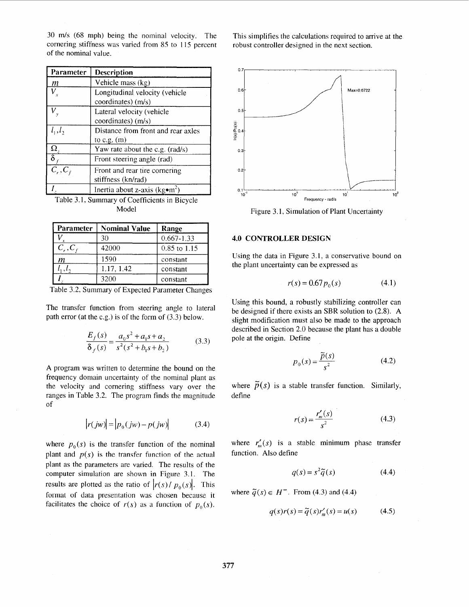| Parameter  | Description                              |
|------------|------------------------------------------|
| m          | Vehicle mass (kg)                        |
| $V_{x}$    | Longitudinal velocity (vehicle           |
|            | coordinates) (m/s)                       |
|            | Lateral velocity (vehicle                |
|            | coordinates) (m/s)                       |
| $l_1, l_2$ | Distance from front and rear axles       |
|            | to c.g. $(m)$                            |
| Ω.         | Yaw rate about the c.g. (rad/s)          |
|            | Front steering angle (rad)               |
| $C_r, C_f$ | Front and rear tire cornering            |
|            | stiffness (kn/rad)                       |
|            | Inertia about z-axis ( $kg\bullet m^2$ ) |

<span id="page-3-0"></span>30 m/s (68 mph) being the nominal velocity. The cornering stiffness was varied from 85 to 115 percent

Table 3.1, Summary of Coefficients in Bicycle Model

| <b>Parameter</b> | <b>Nominal Value</b> | Range          |
|------------------|----------------------|----------------|
|                  | 30                   | $0.667 - 1.33$ |
| $C_r, C_r$       | 42000                | $0.85$ to 1.15 |
| т                | 1590                 | constant       |
|                  | 1.17, 1.42           | constant       |
|                  | 3200                 | constant       |

Table 3.2. Summary of Expected Parameter Changes

The transfer function from steering angle to lateral path error (at the c.g.) is of the form of (3.3) below.

$$
\frac{E_f(s)}{\delta_f(s)} = \frac{a_0 s^2 + a_1 s + a_2}{s^2 (s^2 + b_1 s + b_2)}
$$
(3.3)

**A** program was written to determine the bound on the frequency domain uncertainty of the nominal plant as the velocity and cornering stiffness, vary over the ranges in Table 3.2. The program finds the magnitude of

$$
|r(jw)| = |p_0(jw) - p(jw)| \tag{3.4}
$$

where  $p_0(s)$  is the transfer function of the nominal plant and  $p(s)$  is the transfer function of the actual plant as the parameters are varied. The results of the computer simulation are shown in Figure 3.1. The results are plotted as the ratio of  $|r(s)/p_0(s)|$ . This format of data presentation was chosen because it facilitates the choice of  $r(s)$  as a function of  $p_0(s)$ . This simplifies the calculations required to arrive at the robust controller designed in the next section.



Figure 3.1, Simulation of Plant Uncertainty

#### **4.0 CONTROLLER DESIGN**

Using the data in Figure 3.1, a conservative bound on the plant uncertainty can be expressed as

$$
r(s) = 0.67 p_0(s)
$$
 (4.1)

Using this bound, a robustly stabilizing controller can be designed if there exists an SBR solution to (2.8). **A**  slight modification must also be made to the approach described in Section 2.0 because the plant has a double pole at the origin. Define

$$
p_0(s) = \frac{\tilde{p}(s)}{s^2} \tag{4.2}
$$

where  $\tilde{p}(s)$  is a stable transfer function. Similarly, define

$$
r(s) = \frac{r'_{m}(s)}{s^{2}}
$$
 (4.3)

where  $r'_{m}(s)$  is a stable minimum phase transfer function. Also define

$$
q(s) = s^2 \tilde{q}(s) \tag{4.4}
$$

where  $\tilde{q}(s) \in H^{\infty}$ . From (4.3) and (4.4)

$$
q(s)r(s) = \tilde{q}(s)r'_{m}(s) = u(s)
$$
\n(4.5)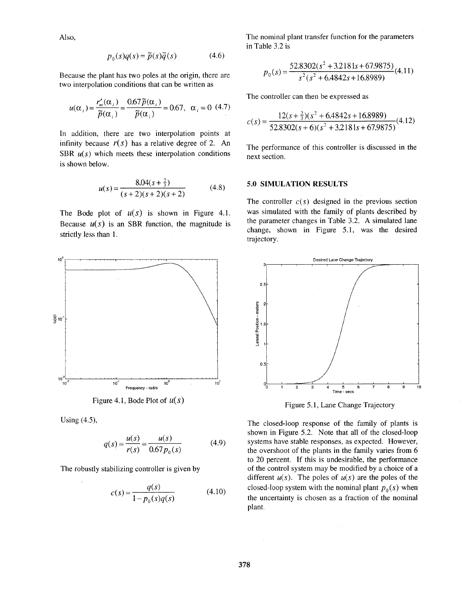Also,

$$
p_0(s)q(s) = \tilde{p}(s)\tilde{q}(s)
$$
 (4.6)

Because the plant has two poles at the origin, there are two interpolation conditions that can be written as

$$
u(\alpha_i) = \frac{r'_m(\alpha_i)}{\tilde{p}(\alpha_i)} = \frac{0.67 \tilde{p}(\alpha_i)}{\tilde{p}(\alpha_i)} = 0.67, \ \alpha_i = 0 \ (4.7)
$$

In addition, there are two interpolation points at infinity because  $r(s)$  has a relative degree of 2. An SBR  $u(s)$  which meets these interpolation conditions is shown below.

$$
u(s) = \frac{8.04(s + \frac{2}{3})}{(s + 2)(s + 2)(s + 2)}
$$
(4.8)

The Bode plot of  $u(s)$  is shown in Figure 4.1. Because  $u(s)$  is an SBR function, the magnitude is strictly less than 1.



Using (4.3,

$$
q(s) = \frac{u(s)}{r(s)} = \frac{u(s)}{0.67 p_0(s)}\tag{4.9}
$$

The robustly stabilizing controller is given by

$$
c(s) = \frac{q(s)}{1 - p_0(s)q(s)}\tag{4.10}
$$

The nominal plant transfer function for the parameters in [Table](#page-3-0) *3.2* is

$$
p_0(s) = \frac{52.8302(s^2 + 3.2181s + 67.9875)}{s^2(s^2 + 6.4842s + 16.8989)}(4.11)
$$

The controller can then be expressed **as** 

$$
c(s) = \frac{12(s + \frac{2}{3})(s^2 + 6.4842s + 16.8989)}{52.8302(s + 6)(s^2 + 3.2181s + 67.9875)}(4.12)
$$

The performance of this controller is discussed in the next section.

#### **5.0 SIMULATION RESULTS**

The controller  $c(s)$  designed in the previous section was simulated with the family of plants described by the parameter changes in Table *3.2.* A simulated lane change, shown in Figure 5.1, was the desired trajectory.



Figure 5.1, Lane Change Trajectory

The closed-loop response of the family of plants is shown in Figure *5.2.* Note that all of the closed-loop systems have stable responses, as expected. However, the overshoot of the plants in the family varies from 6 to 20 percent. If this is undesirable, the performance of the control system may be modified by a choice of a different  $u(s)$ . The poles of  $u(s)$  are the poles of the closed-loop system with the nominal plant  $p_0(s)$  when the uncertainty is chosen as a fraction of the nominal plant.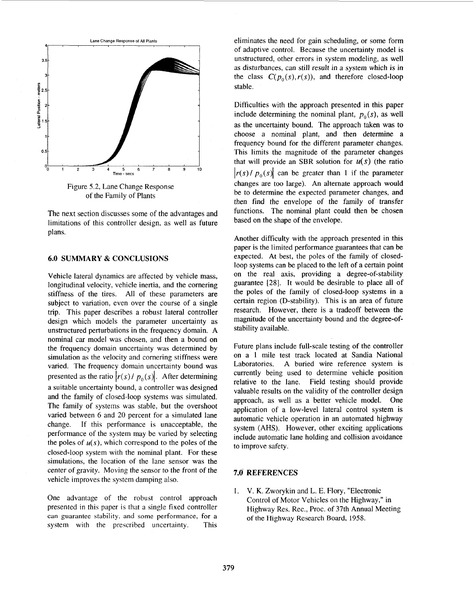

Figure 5.2, Lane Change Response of the Family of Plants

The next section discusses some of the advantages and limitations of this controller design, as well as future plans.

## **6.0 SUMMARY & CONCLUSIONS**

Vehicle lateral dynamics are affected by vehicle mass, longitudinal velocity. vehicle inertia, and the cornering stiffness of the tires. All of these parameters are subject to variation, even over the course of a single trip. This paper describes a robust lateral controller design which models the parameter uncertainty as unstructured perturbations in the frequency domain. A nominal car model was chosen, and then a bound on the frequency domain uncertainty was determined by simulation as the velocity and cornering stiffness were varied. The frequency domain uncertainty bound was presented as the ratio  $|r(s)/p_0(s)|$ . After determining a suitable uncertainty bound, a controller was designed and the family of closed-loop systems was simulated. The family of systems was stable, but the overshoot varied between *6* and 20 percent for a simulated lane change. If this performance is unacceptable, the performance of the system may be varied by selecting the poles of  $u(s)$ , which correspond to the poles of the closed-loop system with the nominal plant. For these simulations, the location of the lane sensor was the center of gravity. Moving the sensor to the front of the vehicle improves the system damping also.

One advantage of the robust control approach presented in this paper is that a single fixed controller **can** guarantee stability, and some performance, for **a**  system with the prescribed uncertainty. This eliminates the need for gain scheduling, or some form of adaptive control. Because the uncertainty model is unstructured, other errors in system modeling, as well as disturbances, can still result in a system which is in the class  $C(p_0(s), r(s))$ , and therefore closed-loop stable.

Difficulties with the approach presented in this paper include determining the nominal plant,  $p_0(s)$ , as well as the uncertainty bound. The approach taken was to choose a nominal plant, and then determine a frequency bound for the different parameter changes. This limits the magnitude of the parameter changes that will provide an SBR solution for  $u(s)$  (the ratio  $|r(s)/p_0(s)|$  can be greater than 1 if the parameter changes are too large). An alternate approach would be to determine the expected parameter changes, and then find the envelope of the family of transfer functions. The nominal plant could then be chosen based on the shape of the envelope.

Another difficulty with the approach presented in this paper is the limited performance guarantees that can be expected. At best, the poles of the family of closedloop systems can be placed to the left of a certain point on the real axis, providing a degree-of-stability guarantee **1281.** It would be desirable to place all of the poles of the family of closed-loop systems in a certain region (D-stability). This is an area of future research. However, there is a tradeoff between the magnitude of the uncertainty bound and the degree-ofstability available.

Future plans include full-scale testing of the controller on a 1 mile test track located at Sandia National Laboratories. **A** buried wire reference system is currently being used to determine vehicle position relative to the lane. Field testing should provide valuable results on the validity of the controller design approach, as well as a better vehicle model. One application of a low-level lateral control system is automatic vehicle operation in an automated highway system (AHS). However, other exciting applications include automatic lane holding and collision avoidance to improve safety.

# **7.0 REFERENCES**

I. V. K. Zworykin and L. E. Flory, "Electronic Control of Motor Vehicles on the Highway," in Highway Res. Rec., Proc. of 37th Annual Meeting of the Highway Research Board, 1958.